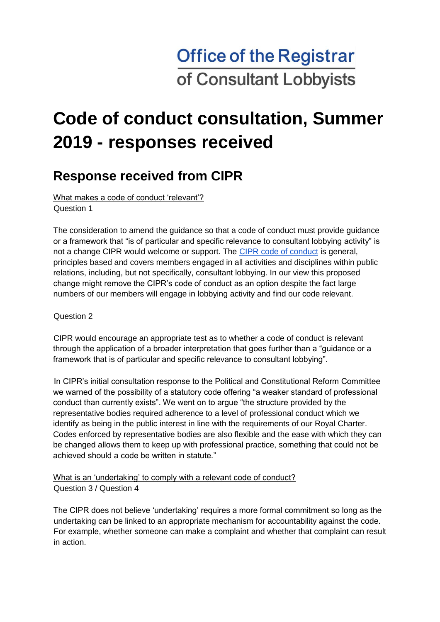# **Office of the Registrar** of Consultant Lobbyists

# **Code of conduct consultation, Summer 2019 - responses received**

### **Response received from CIPR**

What makes a code of conduct 'relevant'?

Question 1

The consideration to amend the guidance so that a code of conduct must provide guidance or a framework that "is of particular and specific relevance to consultant lobbying activity" is not a change CIPR would welcome or support. The CIPR code of conduct is general, principles based and covers members engaged in all activities and disciplines within public relations, including, but not specifically, consultant lobbying. In our view this proposed change might remove the CIPR's code of conduct as an option despite the fact large numbers of our members will engage in lobbying activity and find our code relevant.

Question 2

CIPR would encourage an appropriate test as to whether a code of conduct is relevant through the application of a broader interpretation that goes further than a "guidance or a framework that is of particular and specific relevance to consultant lobbying".

In CIPR's initial consultation response to the Political and Constitutional Reform Committee we warned of the possibility of a statutory code offering "a weaker standard of professional conduct than currently exists". We went on to argue "the structure provided by the representative bodies required adherence to a level of professional conduct which we identify as being in the public interest in line with the requirements of our Royal Charter. Codes enforced by representative bodies are also flexible and the ease with which they can be changed allows them to keep up with professional practice, something that could not be achieved should a code be written in statute."

What is an 'undertaking' to comply with a relevant code of conduct? Question 3 / Question 4

The CIPR does not believe 'undertaking' requires a more formal commitment so long as the undertaking can be linked to an appropriate mechanism for accountability against the code. For example, whether someone can make a complaint and whether that complaint can result in action.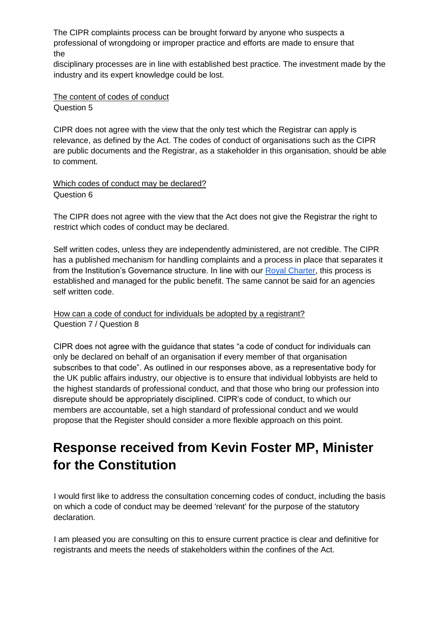The CIPR complaints process can be brought forward by anyone who suspects a professional of wrongdoing or improper practice and efforts are made to ensure that the

disciplinary processes are in line with established best practice. The investment made by the industry and its expert knowledge could be lost.

The content of codes of conduct Question 5

CIPR does not agree with the view that the only test which the Registrar can apply is relevance, as defined by the Act. The codes of conduct of organisations such as the CIPR are public documents and the Registrar, as a stakeholder in this organisation, should be able to comment.

Which codes of conduct may be declared? Question 6

The CIPR does not agree with the view that the Act does not give the Registrar the right to restrict which codes of conduct may be declared.

Self written codes, unless they are independently administered, are not credible. The CIPR has a published mechanism for handling complaints and a process in place that separates it from the Institution's Governance structure. In line with our **Royal Charter**, this process is established and managed for the public benefit. The same cannot be said for an agencies self written code.

How can a code of conduct for individuals be adopted by a registrant? Question 7 / Question 8

CIPR does not agree with the guidance that states "a code of conduct for individuals can only be declared on behalf of an organisation if every member of that organisation subscribes to that code". As outlined in our responses above, as a representative body for the UK public affairs industry, our objective is to ensure that individual lobbyists are held to the highest standards of professional conduct, and that those who bring our profession into disrepute should be appropriately disciplined. CIPR's code of conduct, to which our members are accountable, set a high standard of professional conduct and we would propose that the Register should consider a more flexible approach on this point.

## **Response received from Kevin Foster MP, Minister for the Constitution**

I would first like to address the consultation concerning codes of conduct, including the basis on which a code of conduct may be deemed 'relevant' for the purpose of the statutory declaration.

I am pleased you are consulting on this to ensure current practice is clear and definitive for registrants and meets the needs of stakeholders within the confines of the Act.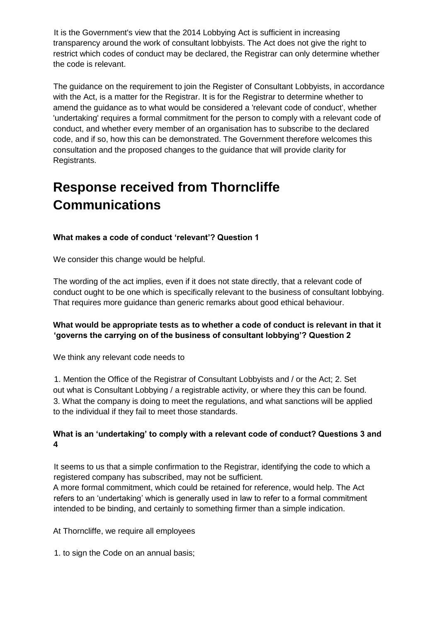It is the Government's view that the 2014 Lobbying Act is sufficient in increasing transparency around the work of consultant lobbyists. The Act does not give the right to restrict which codes of conduct may be declared, the Registrar can only determine whether the code is relevant.

The guidance on the requirement to join the Register of Consultant Lobbyists, in accordance with the Act, is a matter for the Registrar. It is for the Registrar to determine whether to amend the guidance as to what would be considered a 'relevant code of conduct', whether 'undertaking' requires a formal commitment for the person to comply with a relevant code of conduct, and whether every member of an organisation has to subscribe to the declared code, and if so, how this can be demonstrated. The Government therefore welcomes this consultation and the proposed changes to the guidance that will provide clarity for Registrants.

## **Response received from Thorncliffe Communications**

#### **What makes a code of conduct 'relevant'? Question 1**

We consider this change would be helpful.

The wording of the act implies, even if it does not state directly, that a relevant code of conduct ought to be one which is specifically relevant to the business of consultant lobbying. That requires more guidance than generic remarks about good ethical behaviour.

#### **What would be appropriate tests as to whether a code of conduct is relevant in that it 'governs the carrying on of the business of consultant lobbying'? Question 2**

We think any relevant code needs to

1. Mention the Office of the Registrar of Consultant Lobbyists and / or the Act; 2. Set out what is Consultant Lobbying / a registrable activity, or where they this can be found. 3. What the company is doing to meet the regulations, and what sanctions will be applied to the individual if they fail to meet those standards.

#### **What is an 'undertaking' to comply with a relevant code of conduct? Questions 3 and 4**

It seems to us that a simple confirmation to the Registrar, identifying the code to which a registered company has subscribed, may not be sufficient.

A more formal commitment, which could be retained for reference, would help. The Act refers to an 'undertaking' which is generally used in law to refer to a formal commitment intended to be binding, and certainly to something firmer than a simple indication.

At Thorncliffe, we require all employees

1. to sign the Code on an annual basis;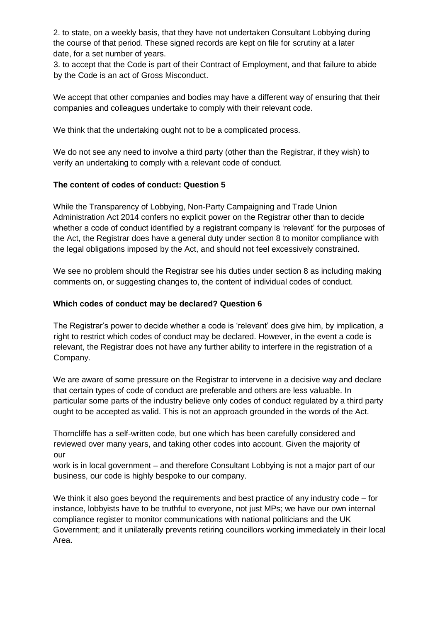2. to state, on a weekly basis, that they have not undertaken Consultant Lobbying during the course of that period. These signed records are kept on file for scrutiny at a later date, for a set number of years.

3. to accept that the Code is part of their Contract of Employment, and that failure to abide by the Code is an act of Gross Misconduct.

We accept that other companies and bodies may have a different way of ensuring that their companies and colleagues undertake to comply with their relevant code.

We think that the undertaking ought not to be a complicated process.

We do not see any need to involve a third party (other than the Registrar, if they wish) to verify an undertaking to comply with a relevant code of conduct.

#### **The content of codes of conduct: Question 5**

While the Transparency of Lobbying, Non-Party Campaigning and Trade Union Administration Act 2014 confers no explicit power on the Registrar other than to decide whether a code of conduct identified by a registrant company is 'relevant' for the purposes of the Act, the Registrar does have a general duty under section 8 to monitor compliance with the legal obligations imposed by the Act, and should not feel excessively constrained.

We see no problem should the Registrar see his duties under section 8 as including making comments on, or suggesting changes to, the content of individual codes of conduct.

#### **Which codes of conduct may be declared? Question 6**

The Registrar's power to decide whether a code is 'relevant' does give him, by implication, a right to restrict which codes of conduct may be declared. However, in the event a code is relevant, the Registrar does not have any further ability to interfere in the registration of a Company.

We are aware of some pressure on the Registrar to intervene in a decisive way and declare that certain types of code of conduct are preferable and others are less valuable. In particular some parts of the industry believe only codes of conduct regulated by a third party ought to be accepted as valid. This is not an approach grounded in the words of the Act.

Thorncliffe has a self-written code, but one which has been carefully considered and reviewed over many years, and taking other codes into account. Given the majority of our

work is in local government – and therefore Consultant Lobbying is not a major part of our business, our code is highly bespoke to our company.

We think it also goes beyond the requirements and best practice of any industry code – for instance, lobbyists have to be truthful to everyone, not just MPs; we have our own internal compliance register to monitor communications with national politicians and the UK Government; and it unilaterally prevents retiring councillors working immediately in their local Area.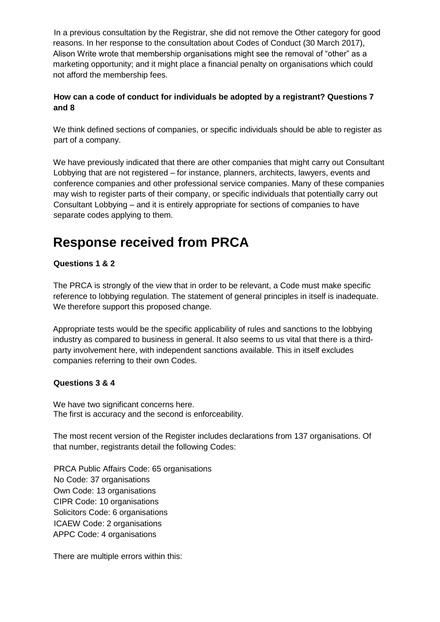In a previous consultation by the Registrar, she did not remove the Other category for good reasons. In her response to the consultation about Codes of Conduct (30 March 2017), Alison Write wrote that membership organisations might see the removal of "other" as a marketing opportunity; and it might place a financial penalty on organisations which could not afford the membership fees.

#### **How can a code of conduct for individuals be adopted by a registrant? Questions 7 and 8**

We think defined sections of companies, or specific individuals should be able to register as part of a company.

We have previously indicated that there are other companies that might carry out Consultant Lobbying that are not registered – for instance, planners, architects, lawyers, events and conference companies and other professional service companies. Many of these companies may wish to register parts of their company, or specific individuals that potentially carry out Consultant Lobbying – and it is entirely appropriate for sections of companies to have separate codes applying to them.

### **Response received from PRCA**

#### **Questions 1 & 2**

The PRCA is strongly of the view that in order to be relevant, a Code must make specific reference to lobbying regulation. The statement of general principles in itself is inadequate. We therefore support this proposed change.

Appropriate tests would be the specific applicability of rules and sanctions to the lobbying industry as compared to business in general. It also seems to us vital that there is a thirdparty involvement here, with independent sanctions available. This in itself excludes companies referring to their own Codes.

#### **Questions 3 & 4**

We have two significant concerns here. The first is accuracy and the second is enforceability.

The most recent version of the Register includes declarations from 137 organisations. Of that number, registrants detail the following Codes:

PRCA Public Affairs Code: 65 organisations No Code: 37 organisations Own Code: 13 organisations CIPR Code: 10 organisations Solicitors Code: 6 organisations ICAEW Code: 2 organisations APPC Code: 4 organisations

There are multiple errors within this: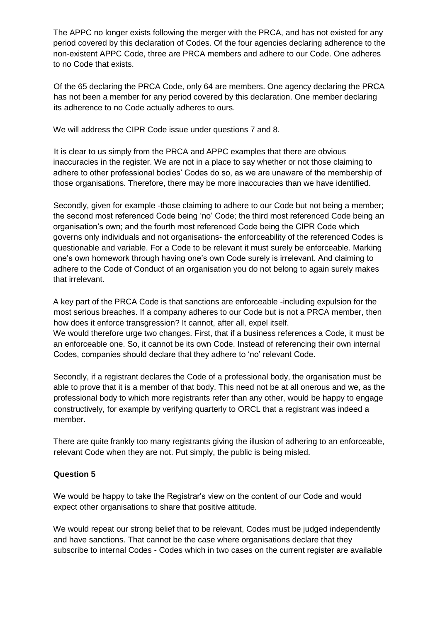The APPC no longer exists following the merger with the PRCA, and has not existed for any period covered by this declaration of Codes. Of the four agencies declaring adherence to the non-existent APPC Code, three are PRCA members and adhere to our Code. One adheres to no Code that exists.

Of the 65 declaring the PRCA Code, only 64 are members. One agency declaring the PRCA has not been a member for any period covered by this declaration. One member declaring its adherence to no Code actually adheres to ours.

We will address the CIPR Code issue under questions 7 and 8.

It is clear to us simply from the PRCA and APPC examples that there are obvious inaccuracies in the register. We are not in a place to say whether or not those claiming to adhere to other professional bodies' Codes do so, as we are unaware of the membership of those organisations. Therefore, there may be more inaccuracies than we have identified.

Secondly, given for example -those claiming to adhere to our Code but not being a member; the second most referenced Code being 'no' Code; the third most referenced Code being an organisation's own; and the fourth most referenced Code being the CIPR Code which governs only individuals and not organisations- the enforceability of the referenced Codes is questionable and variable. For a Code to be relevant it must surely be enforceable. Marking one's own homework through having one's own Code surely is irrelevant. And claiming to adhere to the Code of Conduct of an organisation you do not belong to again surely makes that irrelevant.

A key part of the PRCA Code is that sanctions are enforceable -including expulsion for the most serious breaches. If a company adheres to our Code but is not a PRCA member, then how does it enforce transgression? It cannot, after all, expel itself. We would therefore urge two changes. First, that if a business references a Code, it must be an enforceable one. So, it cannot be its own Code. Instead of referencing their own internal Codes, companies should declare that they adhere to 'no' relevant Code.

Secondly, if a registrant declares the Code of a professional body, the organisation must be able to prove that it is a member of that body. This need not be at all onerous and we, as the professional body to which more registrants refer than any other, would be happy to engage constructively, for example by verifying quarterly to ORCL that a registrant was indeed a member.

There are quite frankly too many registrants giving the illusion of adhering to an enforceable, relevant Code when they are not. Put simply, the public is being misled.

#### **Question 5**

We would be happy to take the Registrar's view on the content of our Code and would expect other organisations to share that positive attitude.

We would repeat our strong belief that to be relevant, Codes must be judged independently and have sanctions. That cannot be the case where organisations declare that they subscribe to internal Codes - Codes which in two cases on the current register are available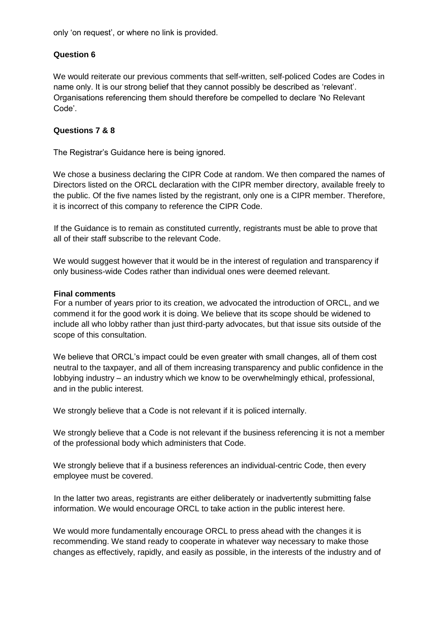only 'on request', or where no link is provided.

#### **Question 6**

We would reiterate our previous comments that self-written, self-policed Codes are Codes in name only. It is our strong belief that they cannot possibly be described as 'relevant'. Organisations referencing them should therefore be compelled to declare 'No Relevant Code'.

#### **Questions 7 & 8**

The Registrar's Guidance here is being ignored.

We chose a business declaring the CIPR Code at random. We then compared the names of Directors listed on the ORCL declaration with the CIPR member directory, available freely to the public. Of the five names listed by the registrant, only one is a CIPR member. Therefore, it is incorrect of this company to reference the CIPR Code.

If the Guidance is to remain as constituted currently, registrants must be able to prove that all of their staff subscribe to the relevant Code.

We would suggest however that it would be in the interest of regulation and transparency if only business-wide Codes rather than individual ones were deemed relevant.

#### **Final comments**

For a number of years prior to its creation, we advocated the introduction of ORCL, and we commend it for the good work it is doing. We believe that its scope should be widened to include all who lobby rather than just third-party advocates, but that issue sits outside of the scope of this consultation.

We believe that ORCL's impact could be even greater with small changes, all of them cost neutral to the taxpayer, and all of them increasing transparency and public confidence in the lobbying industry – an industry which we know to be overwhelmingly ethical, professional, and in the public interest.

We strongly believe that a Code is not relevant if it is policed internally.

We strongly believe that a Code is not relevant if the business referencing it is not a member of the professional body which administers that Code.

We strongly believe that if a business references an individual-centric Code, then every employee must be covered.

In the latter two areas, registrants are either deliberately or inadvertently submitting false information. We would encourage ORCL to take action in the public interest here.

We would more fundamentally encourage ORCL to press ahead with the changes it is recommending. We stand ready to cooperate in whatever way necessary to make those changes as effectively, rapidly, and easily as possible, in the interests of the industry and of